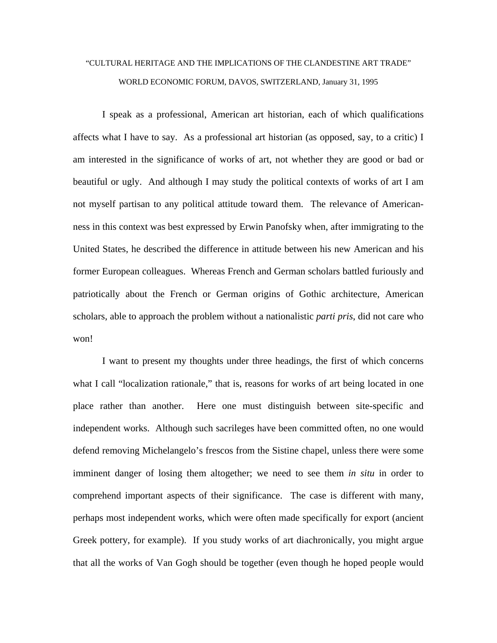## "CULTURAL HERITAGE AND THE IMPLICATIONS OF THE CLANDESTINE ART TRADE" WORLD ECONOMIC FORUM, DAVOS, SWITZERLAND, January 31, 1995

 I speak as a professional, American art historian, each of which qualifications affects what I have to say. As a professional art historian (as opposed, say, to a critic) I am interested in the significance of works of art, not whether they are good or bad or beautiful or ugly. And although I may study the political contexts of works of art I am not myself partisan to any political attitude toward them. The relevance of Americanness in this context was best expressed by Erwin Panofsky when, after immigrating to the United States, he described the difference in attitude between his new American and his former European colleagues. Whereas French and German scholars battled furiously and patriotically about the French or German origins of Gothic architecture, American scholars, able to approach the problem without a nationalistic *parti pris*, did not care who won!

 I want to present my thoughts under three headings, the first of which concerns what I call "localization rationale," that is, reasons for works of art being located in one place rather than another. Here one must distinguish between site-specific and independent works. Although such sacrileges have been committed often, no one would defend removing Michelangelo's frescos from the Sistine chapel, unless there were some imminent danger of losing them altogether; we need to see them *in situ* in order to comprehend important aspects of their significance. The case is different with many, perhaps most independent works, which were often made specifically for export (ancient Greek pottery, for example). If you study works of art diachronically, you might argue that all the works of Van Gogh should be together (even though he hoped people would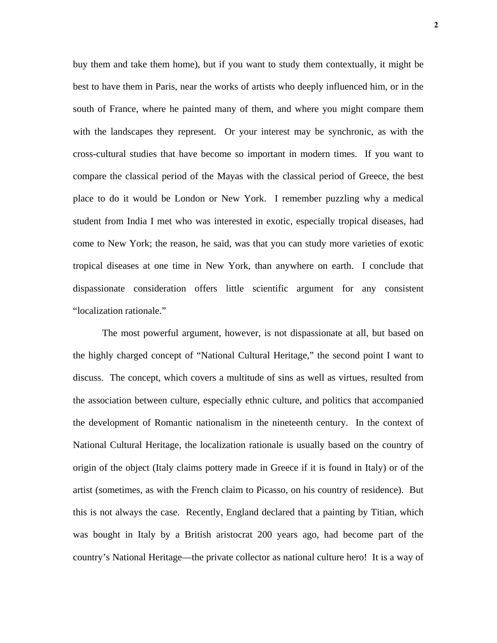buy them and take them home), but if you want to study them contextually, it might be best to have them in Paris, near the works of artists who deeply influenced him, or in the south of France, where he painted many of them, and where you might compare them with the landscapes they represent. Or your interest may be synchronic, as with the cross-cultural studies that have become so important in modern times. If you want to compare the classical period of the Mayas with the classical period of Greece, the best place to do it would be London or New York. I remember puzzling why a medical student from India I met who was interested in exotic, especially tropical diseases, had come to New York; the reason, he said, was that you can study more varieties of exotic tropical diseases at one time in New York, than anywhere on earth. I conclude that dispassionate consideration offers little scientific argument for any consistent "localization rationale."

 The most powerful argument, however, is not dispassionate at all, but based on the highly charged concept of "National Cultural Heritage," the second point I want to discuss. The concept, which covers a multitude of sins as well as virtues, resulted from the association between culture, especially ethnic culture, and politics that accompanied the development of Romantic nationalism in the nineteenth century. In the context of National Cultural Heritage, the localization rationale is usually based on the country of origin of the object (Italy claims pottery made in Greece if it is found in Italy) or of the artist (sometimes, as with the French claim to Picasso, on his country of residence). But this is not always the case. Recently, England declared that a painting by Titian, which was bought in Italy by a British aristocrat 200 years ago, had become part of the country's National Heritage—the private collector as national culture hero! It is a way of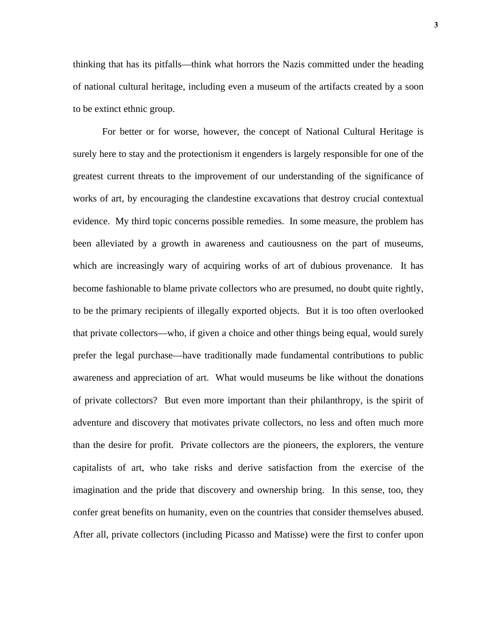thinking that has its pitfalls—think what horrors the Nazis committed under the heading of national cultural heritage, including even a museum of the artifacts created by a soon to be extinct ethnic group.

 For better or for worse, however, the concept of National Cultural Heritage is surely here to stay and the protectionism it engenders is largely responsible for one of the greatest current threats to the improvement of our understanding of the significance of works of art, by encouraging the clandestine excavations that destroy crucial contextual evidence. My third topic concerns possible remedies. In some measure, the problem has been alleviated by a growth in awareness and cautiousness on the part of museums, which are increasingly wary of acquiring works of art of dubious provenance. It has become fashionable to blame private collectors who are presumed, no doubt quite rightly, to be the primary recipients of illegally exported objects. But it is too often overlooked that private collectors—who, if given a choice and other things being equal, would surely prefer the legal purchase—have traditionally made fundamental contributions to public awareness and appreciation of art. What would museums be like without the donations of private collectors? But even more important than their philanthropy, is the spirit of adventure and discovery that motivates private collectors, no less and often much more than the desire for profit. Private collectors are the pioneers, the explorers, the venture capitalists of art, who take risks and derive satisfaction from the exercise of the imagination and the pride that discovery and ownership bring. In this sense, too, they confer great benefits on humanity, even on the countries that consider themselves abused. After all, private collectors (including Picasso and Matisse) were the first to confer upon